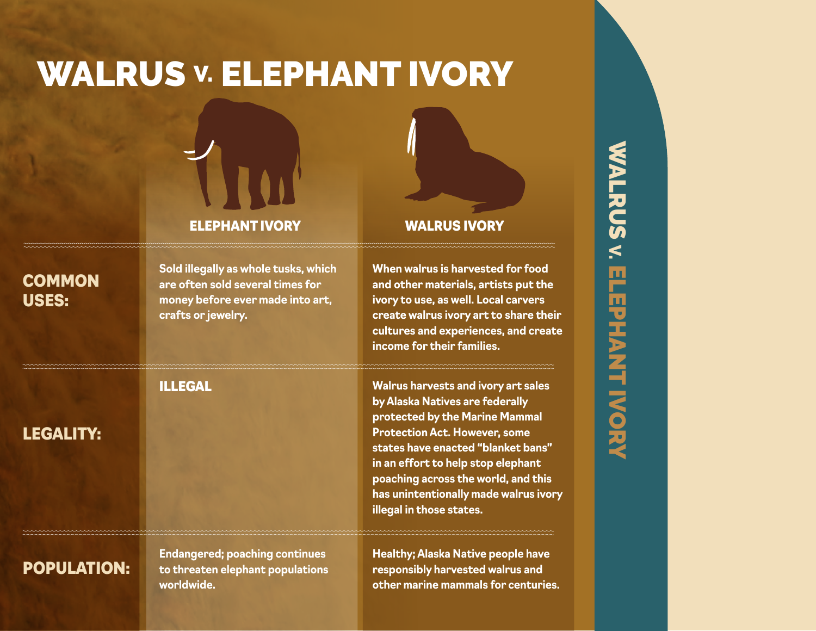## WALRUS **V. ELEPHANT IVORY**



#### ELEPHANT IVORY WALRUS IVORY

**Sold illegally as whole tusks, which are often sold several times for money before ever made into art, crafts or jewelry.** 

LEGALITY:

**COMMON** 

USES:

#### ILLEGAL **Walrus harvests and ivory art sales by Alaska Natives are federally protected by the Marine Mammal Protection Act. However, some states have enacted "blanket bans" in an effort to help stop elephant poaching across the world, and this has unintentionally made walrus ivory**

**When walrus is harvested for food and other materials, artists put the ivory to use, as well. Local carvers create walrus ivory art to share their cultures and experiences, and create** 

**income for their families.**

**illegal in those states.**

### POPULATION:

**Endangered; poaching continues to threaten elephant populations worldwide.**

**Healthy; Alaska Native people have responsibly harvested walrus and other marine mammals for centuries.**

# WALRUS V **SALACY SURPHANT IVORY ELEPHANT IVORY**